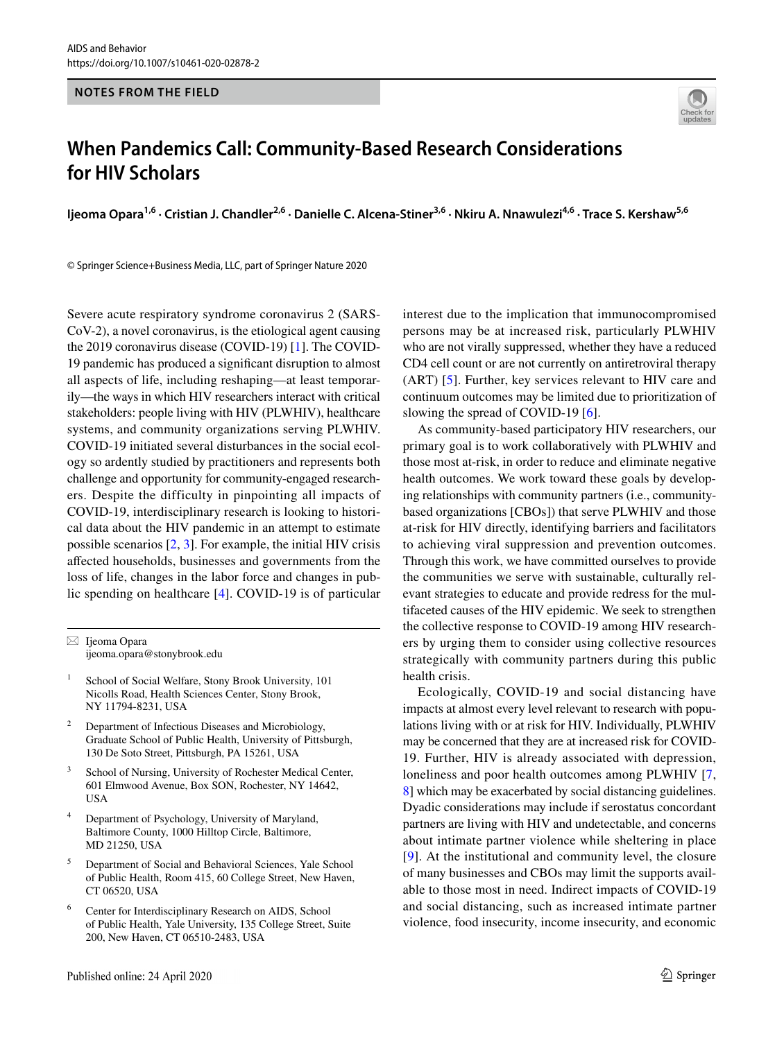#### **NOTES FROM THE FIELD**



# **When Pandemics Call: Community‑Based Research Considerations for HIV Scholars**

Ijeoma Opara<sup>1,6</sup> · Cristian J. Chandler<sup>2,6</sup> · Danielle C. Alcena-Stiner<sup>3,6</sup> · Nkiru A. Nnawulezi<sup>4,6</sup> · Trace S. Kershaw<sup>5,6</sup>

© Springer Science+Business Media, LLC, part of Springer Nature 2020

Severe acute respiratory syndrome coronavirus 2 (SARS-CoV-2), a novel coronavirus, is the etiological agent causing the 2019 coronavirus disease (COVID-19) [[1\]](#page-2-0). The COVID-19 pandemic has produced a signifcant disruption to almost all aspects of life, including reshaping—at least temporarily—the ways in which HIV researchers interact with critical stakeholders: people living with HIV (PLWHIV), healthcare systems, and community organizations serving PLWHIV. COVID-19 initiated several disturbances in the social ecology so ardently studied by practitioners and represents both challenge and opportunity for community-engaged researchers. Despite the difficulty in pinpointing all impacts of COVID-19, interdisciplinary research is looking to historical data about the HIV pandemic in an attempt to estimate possible scenarios [[2,](#page-2-1) [3](#page-2-2)]. For example, the initial HIV crisis afected households, businesses and governments from the loss of life, changes in the labor force and changes in public spending on healthcare [[4\]](#page-2-3). COVID-19 is of particular

 $\boxtimes$  Ijeoma Opara ijeoma.opara@stonybrook.edu

- School of Social Welfare, Stony Brook University, 101 Nicolls Road, Health Sciences Center, Stony Brook, NY 11794-8231, USA
- <sup>2</sup> Department of Infectious Diseases and Microbiology, Graduate School of Public Health, University of Pittsburgh, 130 De Soto Street, Pittsburgh, PA 15261, USA
- <sup>3</sup> School of Nursing, University of Rochester Medical Center, 601 Elmwood Avenue, Box SON, Rochester, NY 14642, USA
- <sup>4</sup> Department of Psychology, University of Maryland, Baltimore County, 1000 Hilltop Circle, Baltimore, MD 21250, USA
- <sup>5</sup> Department of Social and Behavioral Sciences, Yale School of Public Health, Room 415, 60 College Street, New Haven, CT 06520, USA
- Center for Interdisciplinary Research on AIDS, School of Public Health, Yale University, 135 College Street, Suite 200, New Haven, CT 06510-2483, USA

interest due to the implication that immunocompromised persons may be at increased risk, particularly PLWHIV who are not virally suppressed, whether they have a reduced CD4 cell count or are not currently on antiretroviral therapy (ART) [\[5](#page-2-4)]. Further, key services relevant to HIV care and continuum outcomes may be limited due to prioritization of slowing the spread of COVID-19 [[6\]](#page-2-5).

As community-based participatory HIV researchers, our primary goal is to work collaboratively with PLWHIV and those most at-risk, in order to reduce and eliminate negative health outcomes. We work toward these goals by developing relationships with community partners (i.e., communitybased organizations [CBOs]) that serve PLWHIV and those at-risk for HIV directly, identifying barriers and facilitators to achieving viral suppression and prevention outcomes. Through this work, we have committed ourselves to provide the communities we serve with sustainable, culturally relevant strategies to educate and provide redress for the multifaceted causes of the HIV epidemic. We seek to strengthen the collective response to COVID-19 among HIV researchers by urging them to consider using collective resources strategically with community partners during this public health crisis.

Ecologically, COVID-19 and social distancing have impacts at almost every level relevant to research with populations living with or at risk for HIV. Individually, PLWHIV may be concerned that they are at increased risk for COVID-19. Further, HIV is already associated with depression, loneliness and poor health outcomes among PLWHIV [[7,](#page-2-6) [8](#page-2-7)] which may be exacerbated by social distancing guidelines. Dyadic considerations may include if serostatus concordant partners are living with HIV and undetectable, and concerns about intimate partner violence while sheltering in place [[9\]](#page-2-8). At the institutional and community level, the closure of many businesses and CBOs may limit the supports available to those most in need. Indirect impacts of COVID-19 and social distancing, such as increased intimate partner violence, food insecurity, income insecurity, and economic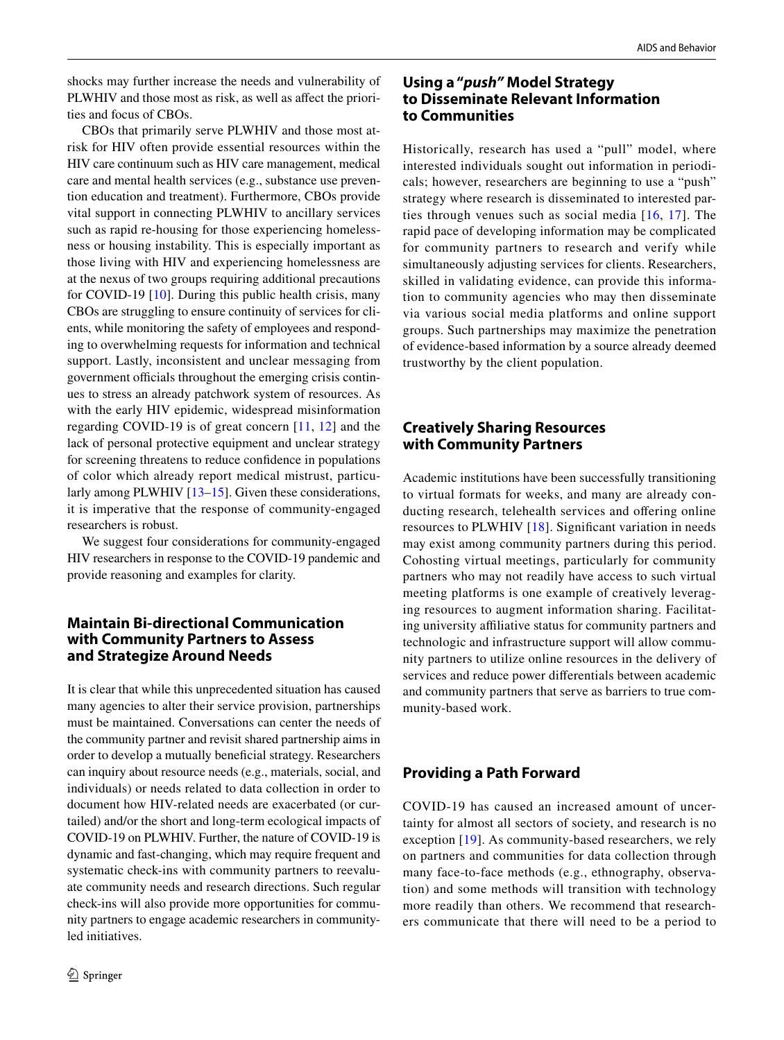shocks may further increase the needs and vulnerability of PLWHIV and those most as risk, as well as affect the priorities and focus of CBOs.

CBOs that primarily serve PLWHIV and those most atrisk for HIV often provide essential resources within the HIV care continuum such as HIV care management, medical care and mental health services (e.g., substance use prevention education and treatment). Furthermore, CBOs provide vital support in connecting PLWHIV to ancillary services such as rapid re-housing for those experiencing homelessness or housing instability. This is especially important as those living with HIV and experiencing homelessness are at the nexus of two groups requiring additional precautions for COVID-19 [\[10\]](#page-2-9). During this public health crisis, many CBOs are struggling to ensure continuity of services for clients, while monitoring the safety of employees and responding to overwhelming requests for information and technical support. Lastly, inconsistent and unclear messaging from government officials throughout the emerging crisis continues to stress an already patchwork system of resources. As with the early HIV epidemic, widespread misinformation regarding COVID-19 is of great concern [\[11,](#page-2-10) [12](#page-2-11)] and the lack of personal protective equipment and unclear strategy for screening threatens to reduce confdence in populations of color which already report medical mistrust, particularly among PLWHIV [\[13](#page-2-12)[–15\]](#page-2-13). Given these considerations, it is imperative that the response of community-engaged researchers is robust.

We suggest four considerations for community-engaged HIV researchers in response to the COVID-19 pandemic and provide reasoning and examples for clarity.

## **Maintain Bi‑directional Communication with Community Partners to Assess and Strategize Around Needs**

It is clear that while this unprecedented situation has caused many agencies to alter their service provision, partnerships must be maintained. Conversations can center the needs of the community partner and revisit shared partnership aims in order to develop a mutually benefcial strategy. Researchers can inquiry about resource needs (e.g., materials, social, and individuals) or needs related to data collection in order to document how HIV-related needs are exacerbated (or curtailed) and/or the short and long-term ecological impacts of COVID-19 on PLWHIV. Further, the nature of COVID-19 is dynamic and fast-changing, which may require frequent and systematic check-ins with community partners to reevaluate community needs and research directions. Such regular check-ins will also provide more opportunities for community partners to engage academic researchers in communityled initiatives.

## **Using a "***push"* **Model Strategy to Disseminate Relevant Information to Communities**

Historically, research has used a "pull" model, where interested individuals sought out information in periodicals; however, researchers are beginning to use a "push" strategy where research is disseminated to interested parties through venues such as social media [[16](#page-2-14), [17](#page-2-15)]. The rapid pace of developing information may be complicated for community partners to research and verify while simultaneously adjusting services for clients. Researchers, skilled in validating evidence, can provide this information to community agencies who may then disseminate via various social media platforms and online support groups. Such partnerships may maximize the penetration of evidence-based information by a source already deemed trustworthy by the client population.

## **Creatively Sharing Resources with Community Partners**

Academic institutions have been successfully transitioning to virtual formats for weeks, and many are already conducting research, telehealth services and offering online resources to PLWHIV [[18](#page-2-16)]. Signifcant variation in needs may exist among community partners during this period. Cohosting virtual meetings, particularly for community partners who may not readily have access to such virtual meeting platforms is one example of creatively leveraging resources to augment information sharing. Facilitating university affiliative status for community partners and technologic and infrastructure support will allow community partners to utilize online resources in the delivery of services and reduce power diferentials between academic and community partners that serve as barriers to true community-based work.

# **Providing a Path Forward**

COVID-19 has caused an increased amount of uncertainty for almost all sectors of society, and research is no exception [\[19\]](#page-2-17). As community-based researchers, we rely on partners and communities for data collection through many face-to-face methods (e.g., ethnography, observation) and some methods will transition with technology more readily than others. We recommend that researchers communicate that there will need to be a period to